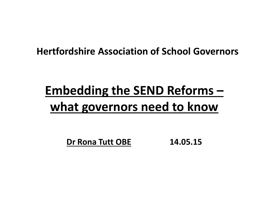#### **Hertfordshire Association of School Governors**

## **Embedding the SEND Reforms – what governors need to know**

**Dr Rona Tutt OBE 14.05.15**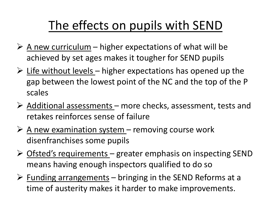### The effects on pupils with SEND

- $\triangleright$  A new curriculum higher expectations of what will be achieved by set ages makes it tougher for SEND pupils
- $\triangleright$  Life without levels higher expectations has opened up the gap between the lowest point of the NC and the top of the P scales
- $\triangleright$  Additional assessments more checks, assessment, tests and retakes reinforces sense of failure
- $\triangleright$  <u>A new examination system</u> removing course work disenfranchises some pupils
- $\triangleright$  Ofsted's requirements greater emphasis on inspecting SEND means having enough inspectors qualified to do so
- $\triangleright$  Funding arrangements bringing in the SEND Reforms at a time of austerity makes it harder to make improvements.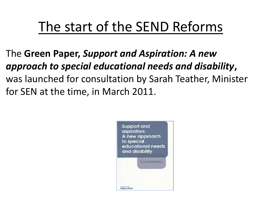## The start of the SEND Reforms

The **Green Paper,** *Support and Aspiration: A new approach to special educational needs and disability***,**  was launched for consultation by Sarah Teather, Minister for SEN at the time, in March 2011.

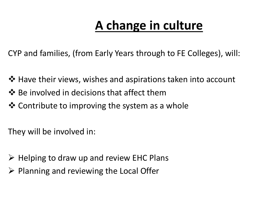## **A change in culture**

CYP and families, (from Early Years through to FE Colleges), will:

- ❖ Have their views, wishes and aspirations taken into account
- $\dots$  Be involved in decisions that affect them
- ❖ Contribute to improving the system as a whole

They will be involved in:

- $\triangleright$  Helping to draw up and review EHC Plans
- $\triangleright$  Planning and reviewing the Local Offer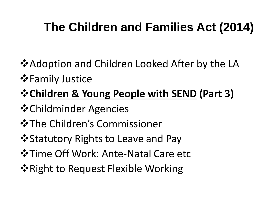### **The Children and Families Act (2014)**

- **\*Adoption and Children Looked After by the LA**
- $\diamond$  **Family Justice**

#### **Children & Young People with SEND (Part 3)**

- Childminder Agencies
- **☆The Children's Commissioner**
- **\* Statutory Rights to Leave and Pay**
- **☆Time Off Work: Ante-Natal Care etc**
- $\dots$  **Right to Request Flexible Working**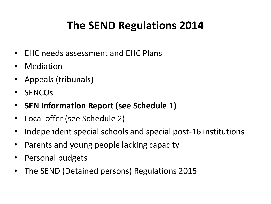#### **The SEND Regulations 2014**

- EHC needs assessment and EHC Plans
- **Mediation**
- Appeals (tribunals)
- SENCOs
- **SEN Information Report (see Schedule 1)**
- Local offer (see Schedule 2)
- Independent special schools and special post-16 institutions
- Parents and young people lacking capacity
- Personal budgets
- The SEND (Detained persons) Regulations 2015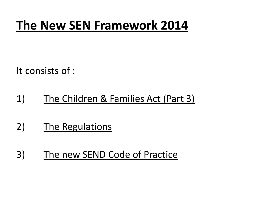### **The New SEN Framework 2014**

It consists of :

- 1) The Children & Families Act (Part 3)
- 2) The Regulations
- 3) The new SEND Code of Practice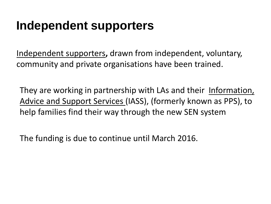#### **Independent supporters**

Independent supporters**,** drawn from independent, voluntary, community and private organisations have been trained.

They are working in partnership with LAs and their Information, Advice and Support Services (IASS), (formerly known as PPS), to help families find their way through the new SEN system

The funding is due to continue until March 2016.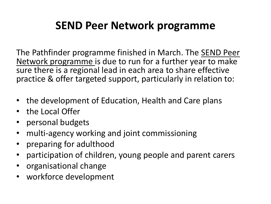#### **SEND Peer Network programme**

The Pathfinder programme finished in March. The SEND Peer Network programme is due to run for a further year to make sure there is a regional lead in each area to share effective practice & offer targeted support, particularly in relation to:

- the development of Education, Health and Care plans
- the Local Offer
- personal budgets
- multi-agency working and joint commissioning
- preparing for adulthood
- participation of children, young people and parent carers
- organisational change
- workforce development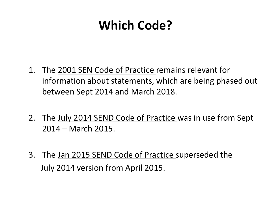### **Which Code?**

- 1. The 2001 SEN Code of Practice remains relevant for information about statements, which are being phased out between Sept 2014 and March 2018.
- 2. The July 2014 SEND Code of Practice was in use from Sept 2014 – March 2015.
- 3. The Jan 2015 SEND Code of Practice superseded the July 2014 version from April 2015.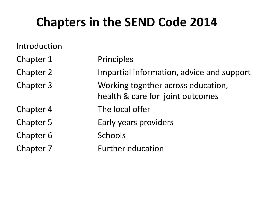### **Chapters in the SEND Code 2014**

Introduction

Chapter 6 Schools

Chapter 1 Principles

Chapter 2 Impartial information, advice and support

Chapter 3 Working together across education,

health & care for joint outcomes

Chapter 4 The local offer

Chapter 5 Early years providers

Chapter 7 Further education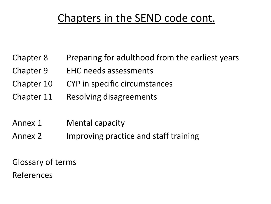#### Chapters in the SEND code cont.

- Chapter 8 Preparing for adulthood from the earliest years
- Chapter 9 EHC needs assessments
- Chapter 10 CYP in specific circumstances
- Chapter 11 Resolving disagreements
- Annex 1 Mental capacity
- Annex 2 Improving practice and staff training

Glossary of terms References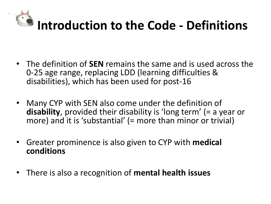

- The definition of **SEN** remains the same and is used across the 0-25 age range, replacing LDD (learning difficulties & disabilities), which has been used for post-16
- Many CYP with SEN also come under the definition of **disability**, provided their disability is 'long term' (= a year or more) and it is 'substantial' (= more than minor or trivial)
- Greater prominence is also given to CYP with **medical conditions**
- There is also a recognition of **mental health issues**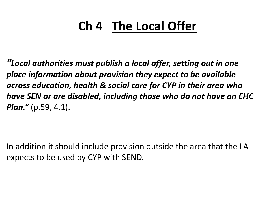## **Ch 4 The Local Offer**

*"Local authorities must publish a local offer, setting out in one place information about provision they expect to be available across education, health & social care for CYP in their area who have SEN or are disabled, including those who do not have an EHC Plan."* (p.59, 4.1).

In addition it should include provision outside the area that the LA expects to be used by CYP with SEND.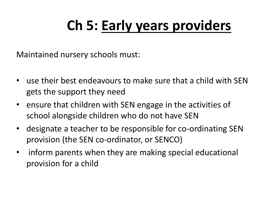# **Ch 5: Early years providers**

Maintained nursery schools must:

- use their best endeavours to make sure that a child with SEN gets the support they need
- ensure that children with SEN engage in the activities of school alongside children who do not have SEN
- designate a teacher to be responsible for co-ordinating SEN provision (the SEN co-ordinator, or SENCO)
- inform parents when they are making special educational provision for a child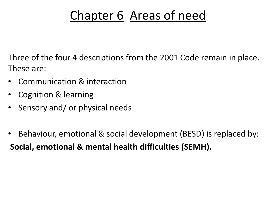### Chapter 6 Areas of need

Three of the four 4 descriptions from the 2001 Code remain in place. These are:

- Communication & interaction
- Cognition & learning
- Sensory and/ or physical needs
- Behaviour, emotional & social development (BESD) is replaced by: **Social, emotional & mental health difficulties (SEMH).**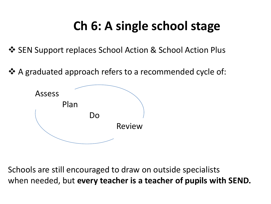### **Ch 6: A single school stage**

 $\cdot$  **SEN Support replaces School Action & School Action Plus** 

❖ A graduated approach refers to a recommended cycle of:



Schools are still encouraged to draw on outside specialists when needed, but **every teacher is a teacher of pupils with SEND.**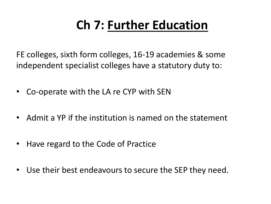## **Ch 7: Further Education**

FE colleges, sixth form colleges, 16-19 academies & some independent specialist colleges have a statutory duty to:

- Co-operate with the LA re CYP with SEN
- Admit a YP if the institution is named on the statement
- Have regard to the Code of Practice
- Use their best endeavours to secure the SEP they need.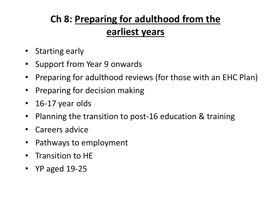#### **Ch 8: Preparing for adulthood from the earliest years**

- Starting early
- Support from Year 9 onwards
- Preparing for adulthood reviews (for those with an EHC Plan)
- Preparing for decision making
- 16-17 year olds
- Planning the transition to post-16 education & training
- Careers advice
- Pathways to employment
- Transition to HE
- YP aged 19-25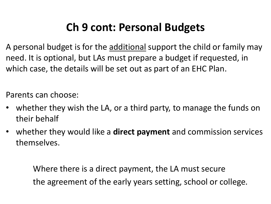#### **Ch 9 cont: Personal Budgets**

A personal budget is for the additional support the child or family may need. It is optional, but LAs must prepare a budget if requested, in which case, the details will be set out as part of an EHC Plan.

Parents can choose:

- whether they wish the LA, or a third party, to manage the funds on their behalf
- whether they would like a **direct payment** and commission services themselves.

Where there is a direct payment, the LA must secure the agreement of the early years setting, school or college.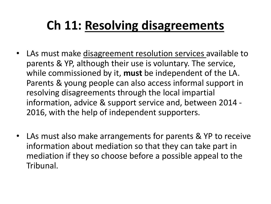### **Ch 11: Resolving disagreements**

- LAs must make disagreement resolution services available to parents & YP, although their use is voluntary. The service, while commissioned by it, **must** be independent of the LA. Parents & young people can also access informal support in resolving disagreements through the local impartial information, advice & support service and, between 2014 - 2016, with the help of independent supporters.
- LAs must also make arrangements for parents & YP to receive information about mediation so that they can take part in mediation if they so choose before a possible appeal to the Tribunal.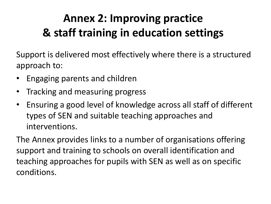#### **Annex 2: Improving practice & staff training in education settings**

Support is delivered most effectively where there is a structured approach to:

- Engaging parents and children
- Tracking and measuring progress
- Ensuring a good level of knowledge across all staff of different types of SEN and suitable teaching approaches and interventions.

The Annex provides links to a number of organisations offering support and training to schools on overall identification and teaching approaches for pupils with SEN as well as on specific conditions.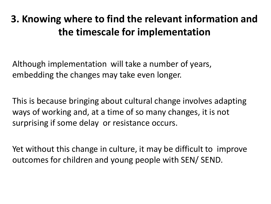#### **3. Knowing where to find the relevant information and the timescale for implementation**

Although implementation will take a number of years, embedding the changes may take even longer.

This is because bringing about cultural change involves adapting ways of working and, at a time of so many changes, it is not surprising if some delay or resistance occurs.

Yet without this change in culture, it may be difficult to improve outcomes for children and young people with SEN/ SEND.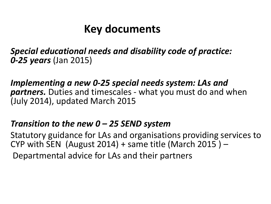#### **Key documents**

*Special educational needs and disability code of practice: 0-25 years* (Jan 2015)

*Implementing a new 0-25 special needs system: LAs and partners.* Duties and timescales - what you must do and when (July 2014), updated March 2015

#### *Transition to the new 0 – 25 SEND system*

Statutory guidance for LAs and organisations providing services to CYP with SEN (August 2014) + same title (March 2015)  $-$ Departmental advice for LAs and their partners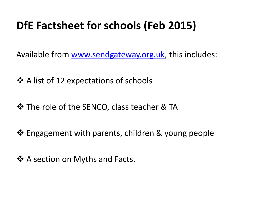#### **DfE Factsheet for schools (Feb 2015)**

Available from [www.sendgateway.org.uk](http://www.sendgateway.org.uk/), this includes:

 $\cdot$  A list of 12 expectations of schools

 $\triangle$  The role of the SENCO, class teacher & TA

❖ Engagement with parents, children & young people

❖ A section on Myths and Facts.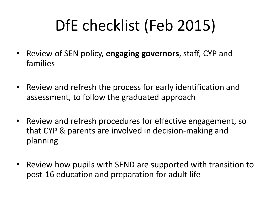# DfE checklist (Feb 2015)

- Review of SEN policy, **engaging governors**, staff, CYP and families
- Review and refresh the process for early identification and assessment, to follow the graduated approach
- Review and refresh procedures for effective engagement, so that CYP & parents are involved in decision-making and planning
- Review how pupils with SEND are supported with transition to post-16 education and preparation for adult life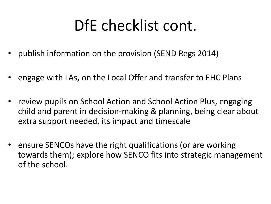# DfE checklist cont.

- publish information on the provision (SEND Regs 2014)
- engage with LAs, on the Local Offer and transfer to EHC Plans
- review pupils on School Action and School Action Plus, engaging child and parent in decision-making & planning, being clear about extra support needed, its impact and timescale
- ensure SENCOs have the right qualifications (or are working towards them); explore how SENCO fits into strategic management of the school.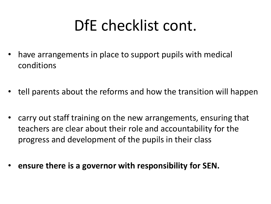# DfE checklist cont.

- have arrangements in place to support pupils with medical conditions
- tell parents about the reforms and how the transition will happen
- carry out staff training on the new arrangements, ensuring that teachers are clear about their role and accountability for the progress and development of the pupils in their class
- **ensure there is a governor with responsibility for SEN.**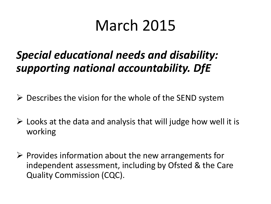## March 2015

#### *Special educational needs and disability: supporting national accountability. DfE*

- $\triangleright$  Describes the vision for the whole of the SEND system
- $\triangleright$  Looks at the data and analysis that will judge how well it is working
- $\triangleright$  Provides information about the new arrangements for independent assessment, including by Ofsted & the Care Quality Commission (CQC).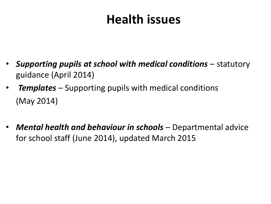### **Health issues**

- *Supporting pupils at school with medical conditions* statutory guidance (April 2014)
- *Templates* Supporting pupils with medical conditions (May 2014)
- *Mental health and behaviour in schools*  Departmental advice for school staff (June 2014), updated March 2015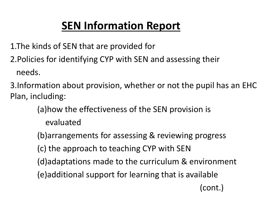#### **SEN Information Report**

1.The kinds of SEN that are provided for

2.Policies for identifying CYP with SEN and assessing their needs.

3.Information about provision, whether or not the pupil has an EHC Plan, including:

> (a)how the effectiveness of the SEN provision is evaluated

(b)arrangements for assessing & reviewing progress

(c) the approach to teaching CYP with SEN

(d)adaptations made to the curriculum & environment

(e)additional support for learning that is available

(cont.)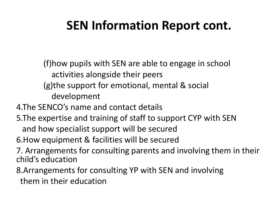### **SEN Information Report cont.**

(f)how pupils with SEN are able to engage in school activities alongside their peers (g)the support for emotional, mental & social

development

4.The SENCO's name and contact details

5.The expertise and training of staff to support CYP with SEN

and how specialist support will be secured

6.How equipment & facilities will be secured

7. Arrangements for consulting parents and involving them in their child's education

8.Arrangements for consulting YP with SEN and involving them in their education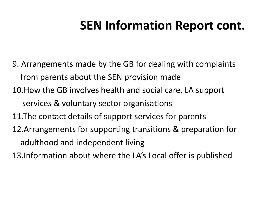### **SEN Information Report cont.**

9. Arrangements made by the GB for dealing with complaints from parents about the SEN provision made 10.How the GB involves health and social care, LA support services & voluntary sector organisations 11.The contact details of support services for parents 12.Arrangements for supporting transitions & preparation for

adulthood and independent living

13.Information about where the LA's Local offer is published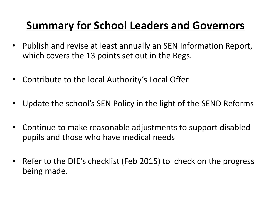#### **Summary for School Leaders and Governors**

- Publish and revise at least annually an SEN Information Report, which covers the 13 points set out in the Regs.
- Contribute to the local Authority's Local Offer
- Update the school's SEN Policy in the light of the SEND Reforms
- Continue to make reasonable adjustments to support disabled pupils and those who have medical needs
- Refer to the DfE's checklist (Feb 2015) to check on the progress being made.